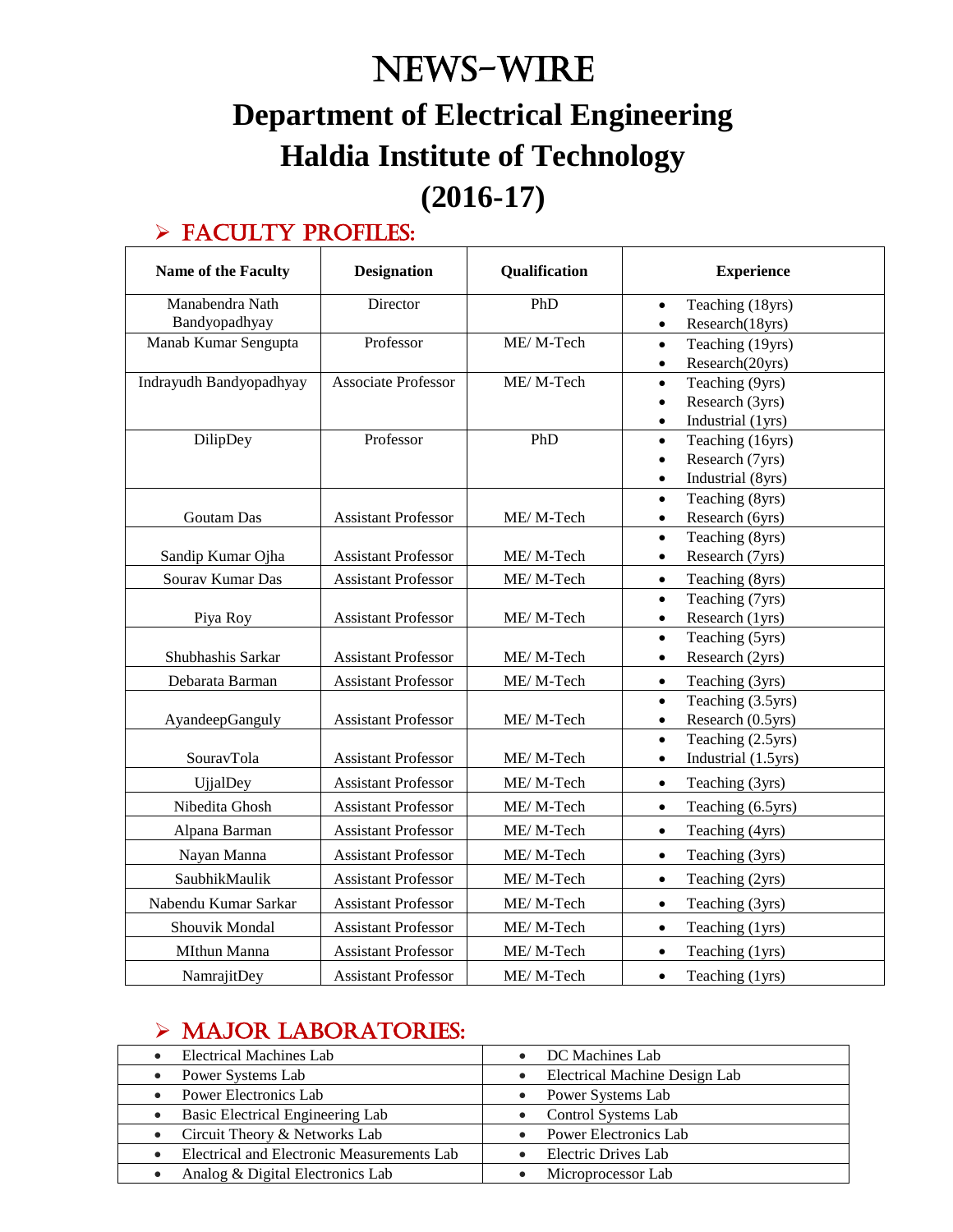# News-WIRE **Department of Electrical Engineering Haldia Institute of Technology (2016-17)**

### $\triangleright$  FACULTY PROFILES:

| <b>Name of the Faculty</b> | <b>Designation</b>         | Qualification | <b>Experience</b>                |
|----------------------------|----------------------------|---------------|----------------------------------|
| Manabendra Nath            | Director                   | PhD           | Teaching (18yrs)<br>$\bullet$    |
| Bandyopadhyay              |                            |               | Research(18yrs)<br>$\bullet$     |
| Manab Kumar Sengupta       | Professor                  | ME/M-Tech     | Teaching (19yrs)<br>$\bullet$    |
|                            |                            |               | Research(20yrs)<br>$\bullet$     |
| Indrayudh Bandyopadhyay    | <b>Associate Professor</b> | ME/M-Tech     | Teaching (9yrs)<br>$\bullet$     |
|                            |                            |               | Research (3yrs)<br>$\bullet$     |
|                            |                            |               | Industrial (1yrs)<br>$\bullet$   |
| DilipDey                   | Professor                  | PhD           | Teaching (16yrs)<br>$\bullet$    |
|                            |                            |               | Research (7yrs)<br>$\bullet$     |
|                            |                            |               | Industrial (8yrs)<br>$\bullet$   |
|                            |                            |               | Teaching (8yrs)<br>$\bullet$     |
| <b>Goutam Das</b>          | <b>Assistant Professor</b> | ME/M-Tech     | Research (6yrs)<br>$\bullet$     |
|                            |                            |               | Teaching (8yrs)<br>$\bullet$     |
| Sandip Kumar Ojha          | <b>Assistant Professor</b> | ME/M-Tech     | Research (7yrs)<br>$\bullet$     |
| Sourav Kumar Das           | <b>Assistant Professor</b> | ME/M-Tech     | Teaching (8yrs)<br>$\bullet$     |
|                            |                            |               | Teaching (7yrs)<br>$\bullet$     |
| Piya Roy                   | <b>Assistant Professor</b> | ME/M-Tech     | Research (1yrs)<br>$\bullet$     |
|                            |                            |               | Teaching (5yrs)<br>$\bullet$     |
| Shubhashis Sarkar          | <b>Assistant Professor</b> | ME/M-Tech     | Research (2yrs)<br>$\bullet$     |
| Debarata Barman            | <b>Assistant Professor</b> | ME/M-Tech     | Teaching (3yrs)<br>$\bullet$     |
|                            |                            |               | Teaching (3.5yrs)<br>$\bullet$   |
| AyandeepGanguly            | <b>Assistant Professor</b> | ME/M-Tech     | Research (0.5yrs)<br>$\bullet$   |
|                            |                            |               | Teaching (2.5yrs)<br>$\bullet$   |
| SouravTola                 | <b>Assistant Professor</b> | ME/M-Tech     | Industrial (1.5yrs)<br>$\bullet$ |
| <b>UjjalDey</b>            | <b>Assistant Professor</b> | ME/M-Tech     | Teaching (3yrs)<br>$\bullet$     |
| Nibedita Ghosh             | <b>Assistant Professor</b> | ME/M-Tech     | Teaching (6.5yrs)<br>$\bullet$   |
| Alpana Barman              | <b>Assistant Professor</b> | ME/M-Tech     | Teaching (4yrs)<br>$\bullet$     |
| Nayan Manna                | <b>Assistant Professor</b> | ME/M-Tech     | Teaching (3yrs)<br>$\bullet$     |
| SaubhikMaulik              | <b>Assistant Professor</b> | ME/M-Tech     | Teaching (2yrs)<br>$\bullet$     |
| Nabendu Kumar Sarkar       | <b>Assistant Professor</b> | ME/M-Tech     | Teaching (3yrs)<br>$\bullet$     |
| Shouvik Mondal             | <b>Assistant Professor</b> | ME/M-Tech     | Teaching (1yrs)<br>$\bullet$     |
| MIthun Manna               | <b>Assistant Professor</b> | ME/M-Tech     | Teaching (1yrs)<br>$\bullet$     |
| NamrajitDey                | <b>Assistant Professor</b> | ME/M-Tech     | Teaching (1yrs)<br>$\bullet$     |

### > MAJOR LABORATORIES:

| Electrical Machines Lab                       | DC Machines Lab               |
|-----------------------------------------------|-------------------------------|
| Power Systems Lab                             | Electrical Machine Design Lab |
| Power Electronics Lab                         | Power Systems Lab             |
| Basic Electrical Engineering Lab<br>$\bullet$ | Control Systems Lab           |
| • Circuit Theory & Networks Lab               | Power Electronics Lab         |
| Electrical and Electronic Measurements Lab    | Electric Drives Lab           |
| Analog & Digital Electronics Lab              | Microprocessor Lab            |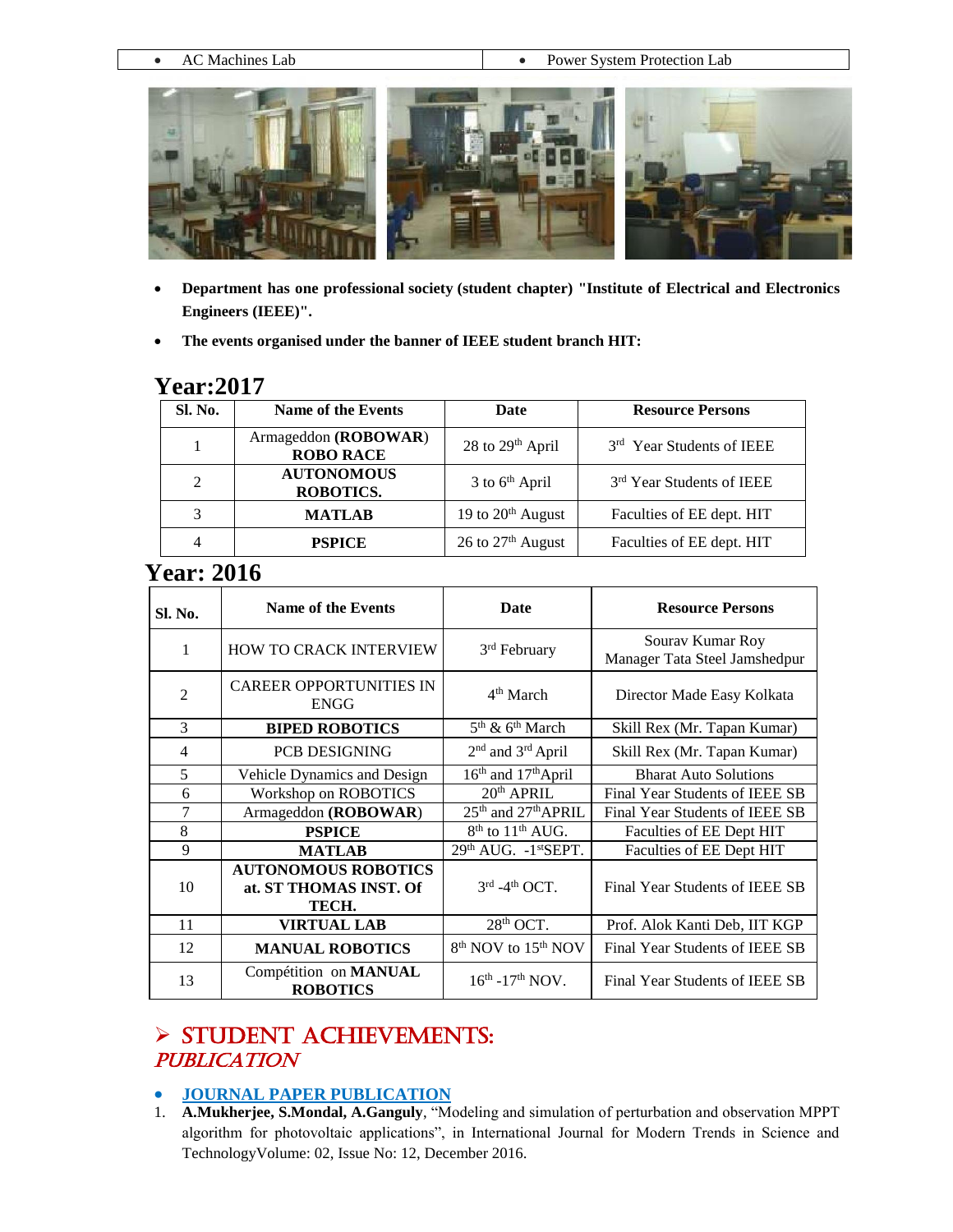• AC Machines Lab **Power System Protection Lab** 



- **Department has one professional society (student chapter) "Institute of Electrical and Electronics Engineers (IEEE)".**
- **The events organised under the banner of IEEE student branch HIT:**

#### **Year:2017**

| Sl. No. | <b>Name of the Events</b>                | Date                          | <b>Resource Persons</b>   |
|---------|------------------------------------------|-------------------------------|---------------------------|
|         | Armageddon (ROBOWAR)<br><b>ROBO RACE</b> | 28 to 29 <sup>th</sup> April  | 3rd Year Students of IEEE |
| 2       | <b>AUTONOMOUS</b><br>ROBOTICS.           | $3$ to $6th$ April            | 3rd Year Students of IEEE |
| 3       | <b>MATLAB</b>                            | 19 to 20 <sup>th</sup> August | Faculties of EE dept. HIT |
| 4       | <b>PSPICE</b>                            | 26 to 27 <sup>th</sup> August | Faculties of EE dept. HIT |

### **Year: 2016**

| Sl. No.        | Name of the Events                                            | <b>Date</b>                                 | <b>Resource Persons</b>                           |
|----------------|---------------------------------------------------------------|---------------------------------------------|---------------------------------------------------|
| 1              | <b>HOW TO CRACK INTERVIEW</b>                                 | 3 <sup>rd</sup> February                    | Sourav Kumar Roy<br>Manager Tata Steel Jamshedpur |
| $\overline{2}$ | <b>CAREER OPPORTUNITIES IN</b><br><b>ENGG</b>                 | $4th$ March                                 | Director Made Easy Kolkata                        |
| 3              | <b>BIPED ROBOTICS</b>                                         | $5th$ & $6th$ March                         | Skill Rex (Mr. Tapan Kumar)                       |
| $\overline{4}$ | <b>PCB DESIGNING</b>                                          | 2 <sup>nd</sup> and 3 <sup>rd</sup> April   | Skill Rex (Mr. Tapan Kumar)                       |
| 5              | Vehicle Dynamics and Design                                   | 16 <sup>th</sup> and 17 <sup>th</sup> April | <b>Bharat Auto Solutions</b>                      |
| 6              | Workshop on ROBOTICS                                          | 20 <sup>th</sup> APRIL                      | Final Year Students of IEEE SB                    |
| 7              | Armageddon (ROBOWAR)                                          | 25 <sup>th</sup> and 27 <sup>th</sup> APRIL | Final Year Students of IEEE SB                    |
| 8              | <b>PSPICE</b>                                                 | $8th$ to $11th$ AUG.                        | Faculties of EE Dept HIT                          |
| 9              | <b>MATLAB</b>                                                 | $29th$ AUG. $-1st$ SEPT.                    | Faculties of EE Dept HIT                          |
| 10             | <b>AUTONOMOUS ROBOTICS</b><br>at. ST THOMAS INST. Of<br>TECH. | $3^{\text{rd}}$ -4 <sup>th</sup> OCT.       | Final Year Students of IEEE SB                    |
| 11             | <b>VIRTUAL LAB</b>                                            | 28 <sup>th</sup> OCT.                       | Prof. Alok Kanti Deb, IIT KGP                     |
| 12             | <b>MANUAL ROBOTICS</b>                                        | 8 <sup>th</sup> NOV to 15 <sup>th</sup> NOV | Final Year Students of IEEE SB                    |
| 13             | Compétition on MANUAL<br><b>ROBOTICS</b>                      | $16^{th}$ -17 <sup>th</sup> NOV.            | Final Year Students of IEEE SB                    |

### $>$  STUDENT ACHIEVEMENTS: **PUBLICATION**

#### **JOURNAL PAPER PUBLICATION**

1. **A.Mukherjee, S.Mondal, A.Ganguly**, "Modeling and simulation of perturbation and observation MPPT algorithm for photovoltaic applications", in International Journal for Modern Trends in Science and TechnologyVolume: 02, Issue No: 12, December 2016.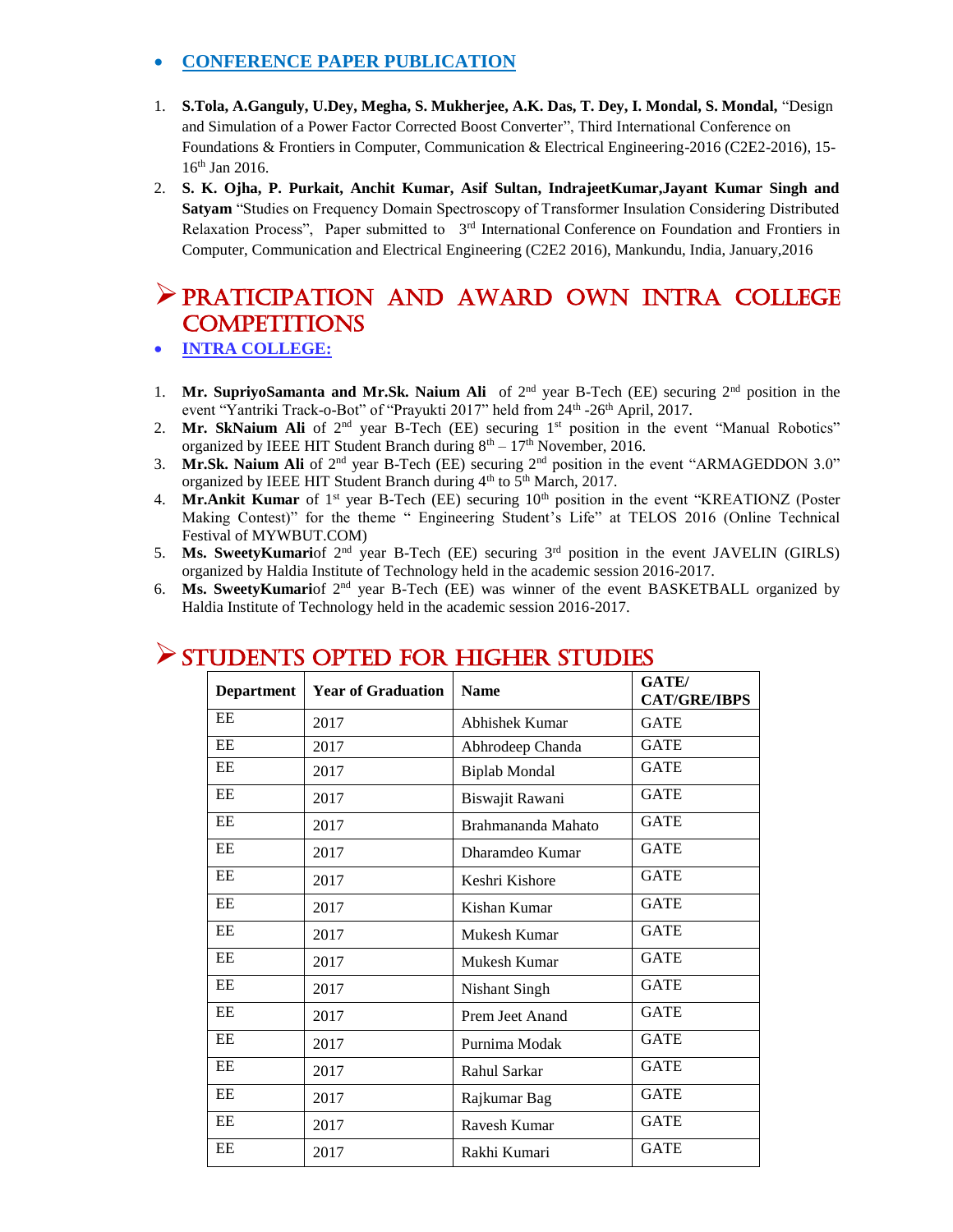#### **CONFERENCE PAPER PUBLICATION**

- 1. **S.Tola, A.Ganguly, U.Dey, Megha, S. Mukherjee, A.K. Das, T. Dey, I. Mondal, S. Mondal,** "Design and Simulation of a Power Factor Corrected Boost Converter", Third International Conference on Foundations & Frontiers in Computer, Communication & Electrical Engineering-2016 (C2E2-2016), 15- 16th Jan 2016.
- 2. **S. K. Ojha, P. Purkait, Anchit Kumar, Asif Sultan, IndrajeetKumar,Jayant Kumar Singh and Satyam** "Studies on Frequency Domain Spectroscopy of Transformer Insulation Considering Distributed Relaxation Process", Paper submitted to 3<sup>rd</sup> International Conference on Foundation and Frontiers in Computer, Communication and Electrical Engineering (C2E2 2016), Mankundu, India, January,2016

### PRATICIPATION AND AWARD OWN INTRA COLLEGE **COMPETITIONS**

- **INTRA COLLEGE:**
- 1. **Mr. SupriyoSamanta and Mr.Sk. Naium Ali** of 2<sup>nd</sup> year B-Tech (EE) securing 2<sup>nd</sup> position in the event "Yantriki Track-o-Bot" of "Prayukti 2017" held from 24<sup>th</sup> -26<sup>th</sup> April, 2017.
- 2. Mr. SkNaium Ali of 2<sup>nd</sup> year B-Tech (EE) securing 1<sup>st</sup> position in the event "Manual Robotics" organized by IEEE HIT Student Branch during  $8<sup>th</sup> - 17<sup>th</sup>$  November, 2016.
- 3. **Mr.Sk. Naium Ali** of 2nd year B-Tech (EE) securing 2nd position in the event "ARMAGEDDON 3.0" organized by IEEE HIT Student Branch during  $4<sup>th</sup>$  to  $5<sup>th</sup>$  March, 2017.
- 4. Mr.Ankit Kumar of 1<sup>st</sup> year B-Tech (EE) securing 10<sup>th</sup> position in the event "KREATIONZ (Poster Making Contest)" for the theme " Engineering Student's Life" at TELOS 2016 (Online Technical Festival of MYWBUT.COM)
- 5. **Ms. SweetyKumari**of 2nd year B-Tech (EE) securing 3rd position in the event JAVELIN (GIRLS) organized by Haldia Institute of Technology held in the academic session 2016-2017.
- 6. **Ms. SweetyKumari**of 2nd year B-Tech (EE) was winner of the event BASKETBALL organized by Haldia Institute of Technology held in the academic session 2016-2017.

| <b>Department</b> | <b>Year of Graduation</b> | <b>Name</b>          | GATE/<br><b>CAT/GRE/IBPS</b> |
|-------------------|---------------------------|----------------------|------------------------------|
| EE                | 2017                      | Abhishek Kumar       | <b>GATE</b>                  |
| EE                | 2017                      | Abhrodeep Chanda     | <b>GATE</b>                  |
| EE                | 2017                      | <b>Biplab Mondal</b> | <b>GATE</b>                  |
| EE                | 2017                      | Biswajit Rawani      | <b>GATE</b>                  |
| EE                | 2017                      | Brahmananda Mahato   | <b>GATE</b>                  |
| EE                | 2017                      | Dharamdeo Kumar      | <b>GATE</b>                  |
| EE                | 2017                      | Keshri Kishore       | <b>GATE</b>                  |
| EE                | 2017                      | Kishan Kumar         | <b>GATE</b>                  |
| EE                | 2017                      | Mukesh Kumar         | <b>GATE</b>                  |
| EE                | 2017                      | Mukesh Kumar         | <b>GATE</b>                  |
| EE                | 2017                      | <b>Nishant Singh</b> | <b>GATE</b>                  |
| EE                | 2017                      | Prem Jeet Anand      | <b>GATE</b>                  |
| EE                | 2017                      | Purnima Modak        | <b>GATE</b>                  |
| EE                | 2017                      | Rahul Sarkar         | <b>GATE</b>                  |
| EE                | 2017                      | Rajkumar Bag         | <b>GATE</b>                  |
| EE                | 2017                      | Ravesh Kumar         | <b>GATE</b>                  |
| EE                | 2017                      | Rakhi Kumari         | <b>GATE</b>                  |

### STUDENTS OPTED FOR HIGHER STUDIES